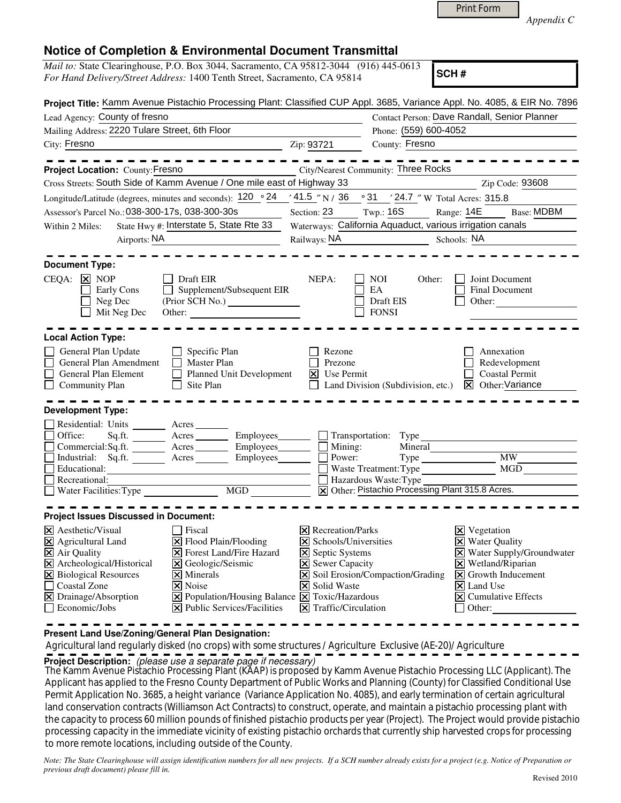| <b>Print Form</b> |  |
|-------------------|--|
|-------------------|--|

*Appendix C* 

|  | <b>Notice of Completion &amp; Environmental Document Transmittal</b> |  |  |
|--|----------------------------------------------------------------------|--|--|
|--|----------------------------------------------------------------------|--|--|

| Mail to: State Clearinghouse, P.O. Box 3044, Sacramento, CA 95812-3044 (916) 445-0613<br>SCH#                                                                                                                                                                                                                                                                                                                                                                                         |                                                                                                                                                                                                                                        |                                                                                                                                                                                                            |  |  |
|---------------------------------------------------------------------------------------------------------------------------------------------------------------------------------------------------------------------------------------------------------------------------------------------------------------------------------------------------------------------------------------------------------------------------------------------------------------------------------------|----------------------------------------------------------------------------------------------------------------------------------------------------------------------------------------------------------------------------------------|------------------------------------------------------------------------------------------------------------------------------------------------------------------------------------------------------------|--|--|
| For Hand Delivery/Street Address: 1400 Tenth Street, Sacramento, CA 95814                                                                                                                                                                                                                                                                                                                                                                                                             |                                                                                                                                                                                                                                        |                                                                                                                                                                                                            |  |  |
| Project Title: Kamm Avenue Pistachio Processing Plant: Classified CUP Appl. 3685, Variance Appl. No. 4085, & EIR No. 7896                                                                                                                                                                                                                                                                                                                                                             |                                                                                                                                                                                                                                        |                                                                                                                                                                                                            |  |  |
| Lead Agency: County of fresno                                                                                                                                                                                                                                                                                                                                                                                                                                                         |                                                                                                                                                                                                                                        | Contact Person: Dave Randall, Senior Planner                                                                                                                                                               |  |  |
| Mailing Address: 2220 Tulare Street, 6th Floor                                                                                                                                                                                                                                                                                                                                                                                                                                        | Phone: (559) 600-4052                                                                                                                                                                                                                  |                                                                                                                                                                                                            |  |  |
| City: Fresno                                                                                                                                                                                                                                                                                                                                                                                                                                                                          | County: Fresno<br>Zip: 93721                                                                                                                                                                                                           |                                                                                                                                                                                                            |  |  |
| Project Location: County: Fresno                                                                                                                                                                                                                                                                                                                                                                                                                                                      | <b>City/Nearest Community: Three Rocks</b>                                                                                                                                                                                             |                                                                                                                                                                                                            |  |  |
| Cross Streets: South Side of Kamm Avenue / One mile east of Highway 33                                                                                                                                                                                                                                                                                                                                                                                                                |                                                                                                                                                                                                                                        | Zip Code: 93608                                                                                                                                                                                            |  |  |
| Longitude/Latitude (degrees, minutes and seconds): 120 ° 24                                                                                                                                                                                                                                                                                                                                                                                                                           | $\frac{(41.5 \text{ m})}{N}$ / 36 $\degree$ 31 $\degree$ 24.7 $\degree$ W Total Acres: 315.8                                                                                                                                           |                                                                                                                                                                                                            |  |  |
| Assessor's Parcel No.: 038-300-17s, 038-300-30s                                                                                                                                                                                                                                                                                                                                                                                                                                       | Section: 23 Twp.: 16S                                                                                                                                                                                                                  | Range: 14E<br><b>Base: MDBM</b>                                                                                                                                                                            |  |  |
| State Hwy #: Interstate 5, State Rte 33<br>Within 2 Miles:                                                                                                                                                                                                                                                                                                                                                                                                                            | Waterways: California Aquaduct, various irrigation canals                                                                                                                                                                              |                                                                                                                                                                                                            |  |  |
| Airports: NA                                                                                                                                                                                                                                                                                                                                                                                                                                                                          | Railways: NA                                                                                                                                                                                                                           | Schools: NA                                                                                                                                                                                                |  |  |
| <b>Document Type:</b><br>CEQA:<br>$\vert x \vert$ NOP<br>Draft EIR                                                                                                                                                                                                                                                                                                                                                                                                                    | NEPA:<br><b>NOI</b><br>Other:                                                                                                                                                                                                          | Joint Document                                                                                                                                                                                             |  |  |
| Supplement/Subsequent EIR<br>Early Cons<br>Neg Dec<br>Mit Neg Dec<br>Other:<br><u> 1989 - Johann Barnett, fransk politiker</u>                                                                                                                                                                                                                                                                                                                                                        | EA<br>Draft EIS<br><b>FONSI</b>                                                                                                                                                                                                        | Final Document<br>Other:                                                                                                                                                                                   |  |  |
| <b>Local Action Type:</b>                                                                                                                                                                                                                                                                                                                                                                                                                                                             |                                                                                                                                                                                                                                        |                                                                                                                                                                                                            |  |  |
| General Plan Update<br>Specific Plan<br>General Plan Amendment<br>Master Plan<br>General Plan Element<br>Planned Unit Development<br><b>Community Plan</b><br>Site Plan                                                                                                                                                                                                                                                                                                               | Rezone<br>Prezone<br>$\vert$ Use Permit<br>Land Division (Subdivision, etc.)                                                                                                                                                           | Annexation<br>Redevelopment<br><b>Coastal Permit</b><br>Other: Variance<br>⊠                                                                                                                               |  |  |
| <b>Development Type:</b>                                                                                                                                                                                                                                                                                                                                                                                                                                                              |                                                                                                                                                                                                                                        |                                                                                                                                                                                                            |  |  |
| Residential: Units ________ Acres _______<br>Employees_<br>Office:<br>Acres<br>Sq.fit.<br>Commercial:Sq.ft. ________ Acres _______<br>Employees<br>Acres<br>Employees______<br>Industrial:<br>Sq.fit.<br>Educational:<br>Recreational:<br>MGD<br>Water Facilities: Type                                                                                                                                                                                                               | Transportation:<br>Type<br>Mining:<br>Mineral<br>Power:<br>Waste Treatment: Type<br>Hazardous Waste: Type<br>X Other: Pistachio Processing Plant 315.8 Acres.                                                                          | <b>MW</b><br>MGD                                                                                                                                                                                           |  |  |
| <b>Project Issues Discussed in Document:</b>                                                                                                                                                                                                                                                                                                                                                                                                                                          |                                                                                                                                                                                                                                        |                                                                                                                                                                                                            |  |  |
| X Aesthetic/Visual<br>Fiscal<br>$\Xi$ Flood Plain/Flooding<br>X Agricultural Land<br>X Air Quality<br>Forest Land/Fire Hazard<br>l×l<br>X Archeological/Historical<br>$\overline{\mathsf{x}}$<br>Geologic/Seismic<br><b>X</b> Biological Resources<br>$\times$ Minerals<br>X Noise<br><b>Coastal Zone</b><br>$\boxtimes$ Drainage/Absorption<br>$\boxed{\mathsf{X}}$ Population/Housing Balance $\boxed{\mathsf{X}}$ Toxic/Hazardous<br>Economic/Jobs<br>X Public Services/Facilities | $\boxtimes$ Recreation/Parks<br>$\triangleright$ Schools/Universities<br><b>X</b> Septic Systems<br><b>X</b> Sewer Capacity<br>Soil Erosion/Compaction/Grading<br>Ι×Ι<br>Solid Waste<br>$\mathsf{\times}$<br>$\Xi$ Traffic/Circulation | Vegetation<br>$\vert\mathsf{x}\vert$<br><b>Water Quality</b><br>X Water Supply/Groundwater<br>X Wetland/Riparian<br>$\boxed{\mathsf{X}}$ Growth Inducement<br>X Land Use<br>X Cumulative Effects<br>Other: |  |  |

**Present Land Use/Zoning/General Plan Designation:**

 Agricultural land regularly disked (no crops) with some structures / Agriculture Exclusive (AE-20)/ Agriculture **Project Description:** (please use a separate page if necessary)

 The Kamm Avenue Pistachio Processing Plant (KAAP) is proposed by Kamm Avenue Pistachio Processing LLC (Applicant). The Applicant has applied to the Fresno County Department of Public Works and Planning (County) for Classified Conditional Use Permit Application No. 3685, a height variance (Variance Application No. 4085), and early termination of certain agricultural land conservation contracts (Williamson Act Contracts) to construct, operate, and maintain a pistachio processing plant with the capacity to process 60 million pounds of finished pistachio products per year (Project). The Project would provide pistachio processing capacity in the immediate vicinity of existing pistachio orchards that currently ship harvested crops for processing to more remote locations, including outside of the County.

*Note: The State Clearinghouse will assign identification numbers for all new projects. If a SCH number already exists for a project (e.g. Notice of Preparation or previous draft document) please fill in.*